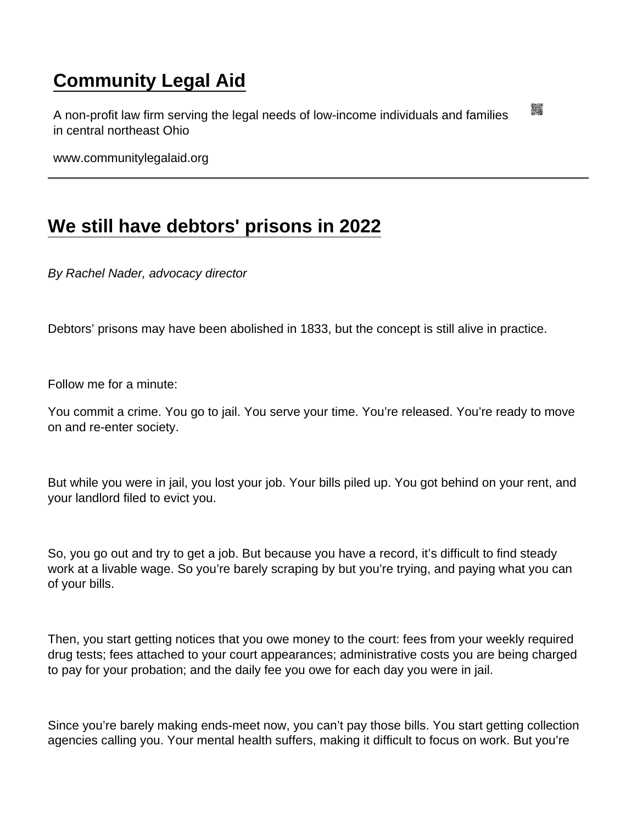## [Community Legal Aid](https://www.communitylegalaid.org/)

A non-profit law firm serving the legal needs of low-income individuals and families in central northeast Ohio

www.communitylegalaid.org

## [We still have debtors' prisons in 2022](https://www.communitylegalaid.org/node/1725/we-still-have-debtors-prisons-2022)

By Rachel Nader, advocacy director

Debtors' prisons may have been abolished in 1833, but the concept is still alive in practice.

Follow me for a minute:

You commit a crime. You go to jail. You serve your time. You're released. You're ready to move on and re-enter society.

But while you were in jail, you lost your job. Your bills piled up. You got behind on your rent, and your landlord filed to evict you.

So, you go out and try to get a job. But because you have a record, it's difficult to find steady work at a livable wage. So you're barely scraping by but you're trying, and paying what you can of your bills.

Then, you start getting notices that you owe money to the court: fees from your weekly required drug tests; fees attached to your court appearances; administrative costs you are being charged to pay for your probation; and the daily fee you owe for each day you were in jail.

Since you're barely making ends-meet now, you can't pay those bills. You start getting collection agencies calling you. Your mental health suffers, making it difficult to focus on work. But you're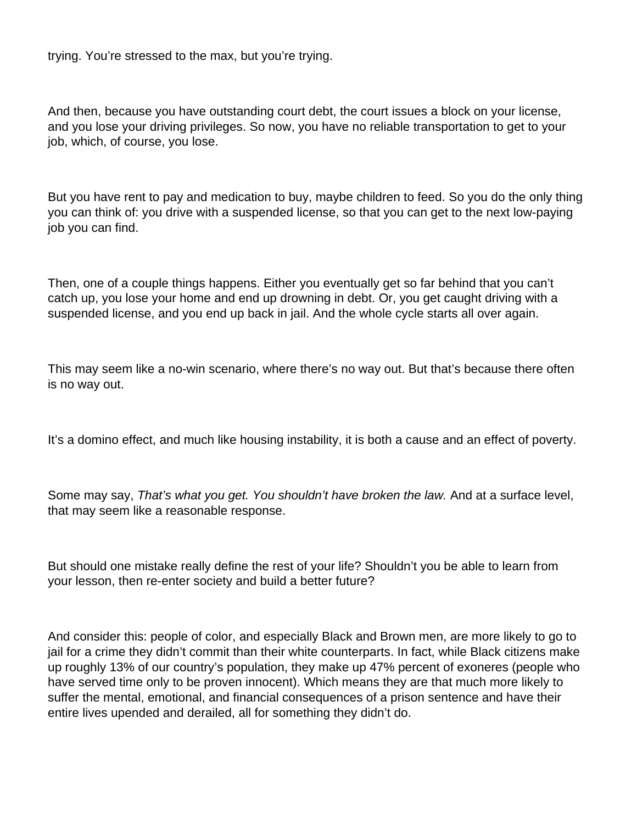trying. You're stressed to the max, but you're trying.

And then, because you have outstanding court debt, the court issues a block on your license, and you lose your driving privileges. So now, you have no reliable transportation to get to your job, which, of course, you lose.

But you have rent to pay and medication to buy, maybe children to feed. So you do the only thing you can think of: you drive with a suspended license, so that you can get to the next low-paying job you can find.

Then, one of a couple things happens. Either you eventually get so far behind that you can't catch up, you lose your home and end up drowning in debt. Or, you get caught driving with a suspended license, and you end up back in jail. And the whole cycle starts all over again.

This may seem like a no-win scenario, where there's no way out. But that's because there often is no way out.

It's a domino effect, and much like housing instability, it is both a cause and an effect of poverty.

Some may say, That's what you get. You shouldn't have broken the law. And at a surface level, that may seem like a reasonable response.

But should one mistake really define the rest of your life? Shouldn't you be able to learn from your lesson, then re-enter society and build a better future?

And consider this: people of color, and especially Black and Brown men, are more likely to go to jail for a crime they didn't commit than their white counterparts. In fact, while Black citizens make up roughly 13% of our country's population, they make up 47% percent of exoneres (people who have served time only to be proven innocent). Which means they are that much more likely to suffer the mental, emotional, and financial consequences of a prison sentence and have their entire lives upended and derailed, all for something they didn't do.